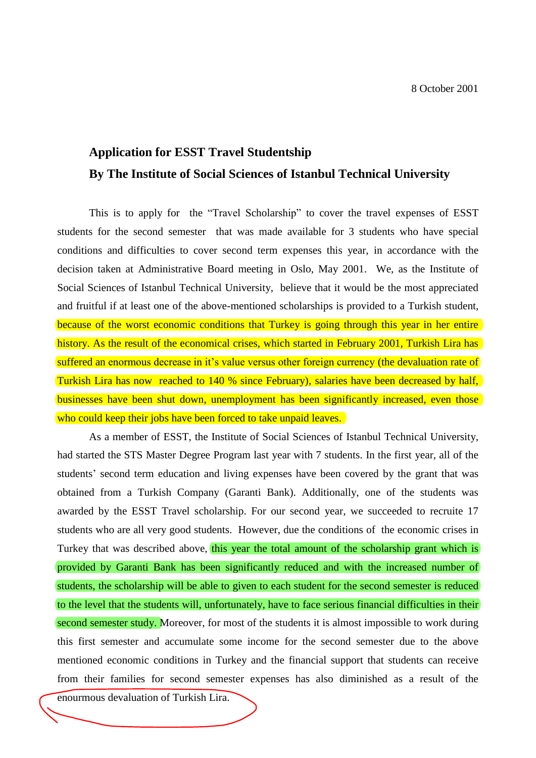## **Application for ESST Travel Studentship By The Institute of Social Sciences of Istanbul Technical University**

This is to apply for the "Travel Scholarship" to cover the travel expenses of ESST students for the second semester that was made available for 3 students who have special conditions and difficulties to cover second term expenses this year, in accordance with the decision taken at Administrative Board meeting in Oslo, May 2001. We, as the Institute of Social Sciences of Istanbul Technical University, believe that it would be the most appreciated and fruitful if at least one of the above-mentioned scholarships is provided to a Turkish student, because of the worst economic conditions that Turkey is going through this year in her entire history. As the result of the economical crises, which started in February 2001, Turkish Lira has suffered an enormous decrease in it's value versus other foreign currency (the devaluation rate of Turkish Lira has now reached to 140 % since February), salaries have been decreased by half, businesses have been shut down, unemployment has been significantly increased, even those who could keep their jobs have been forced to take unpaid leaves.

As a member of ESST, the Institute of Social Sciences of Istanbul Technical University, had started the STS Master Degree Program last year with 7 students. In the first year, all of the students' second term education and living expenses have been covered by the grant that was obtained from a Turkish Company (Garanti Bank). Additionally, one of the students was awarded by the ESST Travel scholarship. For our second year, we succeeded to recruite 17 students who are all very good students. However, due the conditions of the economic crises in Turkey that was described above, this year the total amount of the scholarship grant which is provided by Garanti Bank has been significantly reduced and with the increased number of students, the scholarship will be able to given to each student for the second semester is reduced to the level that the students will, unfortunately, have to face serious financial difficulties in their second semester study. Moreover, for most of the students it is almost impossible to work during this first semester and accumulate some income for the second semester due to the above mentioned economic conditions in Turkey and the financial support that students can receive from their families for second semester expenses has also diminished as a result of the

enourmous devaluation of Turkish Lira.